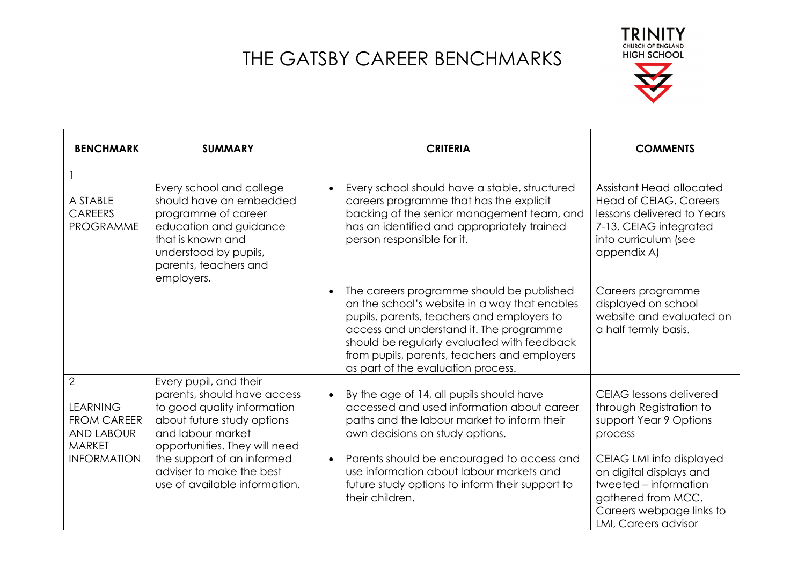

| <b>BENCHMARK</b>                                                                                                    | <b>SUMMARY</b>                                                                                                                                                                                                                                                      | <b>CRITERIA</b>                                                                                                                                                                                                                                                                                                                                                    | <b>COMMENTS</b>                                                                                                                                                                                                                                          |
|---------------------------------------------------------------------------------------------------------------------|---------------------------------------------------------------------------------------------------------------------------------------------------------------------------------------------------------------------------------------------------------------------|--------------------------------------------------------------------------------------------------------------------------------------------------------------------------------------------------------------------------------------------------------------------------------------------------------------------------------------------------------------------|----------------------------------------------------------------------------------------------------------------------------------------------------------------------------------------------------------------------------------------------------------|
| A STABLE<br><b>CAREERS</b><br><b>PROGRAMME</b>                                                                      | Every school and college<br>should have an embedded<br>programme of career<br>education and guidance<br>that is known and<br>understood by pupils,<br>parents, teachers and<br>employers.                                                                           | Every school should have a stable, structured<br>$\bullet$<br>careers programme that has the explicit<br>backing of the senior management team, and<br>has an identified and appropriately trained<br>person responsible for it.                                                                                                                                   | Assistant Head allocated<br><b>Head of CEIAG. Careers</b><br>lessons delivered to Years<br>7-13. CEIAG integrated<br>into curriculum (see<br>appendix A)                                                                                                 |
|                                                                                                                     |                                                                                                                                                                                                                                                                     | The careers programme should be published<br>$\bullet$<br>on the school's website in a way that enables<br>pupils, parents, teachers and employers to<br>access and understand it. The programme<br>should be regularly evaluated with feedback<br>from pupils, parents, teachers and employers<br>as part of the evaluation process.                              | Careers programme<br>displayed on school<br>website and evaluated on<br>a half termly basis.                                                                                                                                                             |
| $\overline{2}$<br><b>LEARNING</b><br><b>FROM CAREER</b><br><b>AND LABOUR</b><br><b>MARKET</b><br><b>INFORMATION</b> | Every pupil, and their<br>parents, should have access<br>to good quality information<br>about future study options<br>and labour market<br>opportunities. They will need<br>the support of an informed<br>adviser to make the best<br>use of available information. | By the age of 14, all pupils should have<br>$\bullet$<br>accessed and used information about career<br>paths and the labour market to inform their<br>own decisions on study options.<br>Parents should be encouraged to access and<br>$\bullet$<br>use information about labour markets and<br>future study options to inform their support to<br>their children. | <b>CEIAG</b> lessons delivered<br>through Registration to<br>support Year 9 Options<br>process<br>CEIAG LMI info displayed<br>on digital displays and<br>tweeted - information<br>gathered from MCC,<br>Careers webpage links to<br>LMI, Careers advisor |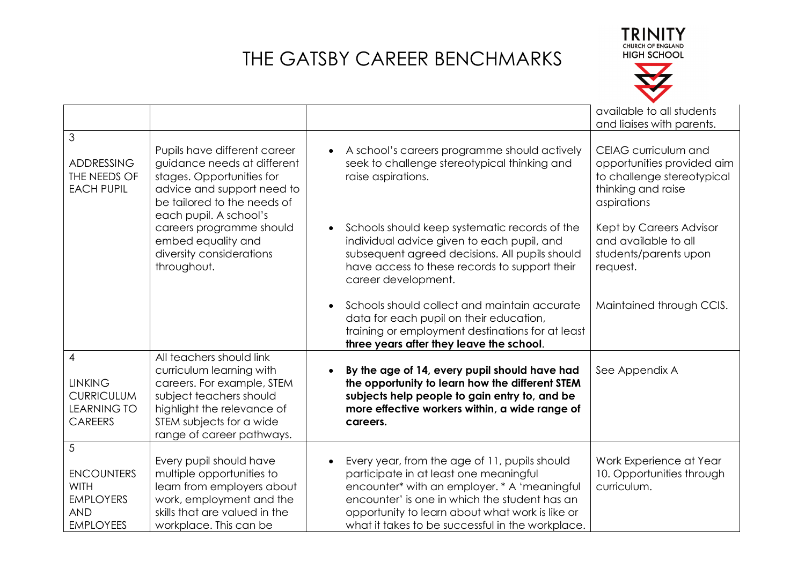



|                                                                                             |                                                                                                                                                                                                      |                                                                                                                                                                                                                                                                                                              | available to all students<br>and liaises with parents.                                                                |
|---------------------------------------------------------------------------------------------|------------------------------------------------------------------------------------------------------------------------------------------------------------------------------------------------------|--------------------------------------------------------------------------------------------------------------------------------------------------------------------------------------------------------------------------------------------------------------------------------------------------------------|-----------------------------------------------------------------------------------------------------------------------|
| 3<br><b>ADDRESSING</b><br>THE NEEDS OF<br><b>EACH PUPIL</b>                                 | Pupils have different career<br>guidance needs at different<br>stages. Opportunities for<br>advice and support need to<br>be tailored to the needs of<br>each pupil. A school's                      | A school's careers programme should actively<br>$\bullet$<br>seek to challenge stereotypical thinking and<br>raise aspirations.                                                                                                                                                                              | CEIAG curriculum and<br>opportunities provided aim<br>to challenge stereotypical<br>thinking and raise<br>aspirations |
|                                                                                             | careers programme should<br>embed equality and<br>diversity considerations<br>throughout.                                                                                                            | Schools should keep systematic records of the<br>$\bullet$<br>individual advice given to each pupil, and<br>subsequent agreed decisions. All pupils should<br>have access to these records to support their<br>career development.                                                                           | Kept by Careers Advisor<br>and available to all<br>students/parents upon<br>request.                                  |
|                                                                                             |                                                                                                                                                                                                      | Schools should collect and maintain accurate<br>$\bullet$<br>data for each pupil on their education,<br>training or employment destinations for at least<br>three years after they leave the school.                                                                                                         | Maintained through CCIS.                                                                                              |
| 4<br><b>LINKING</b><br><b>CURRICULUM</b><br><b>LEARNING TO</b><br><b>CAREERS</b>            | All teachers should link<br>curriculum learning with<br>careers. For example, STEM<br>subject teachers should<br>highlight the relevance of<br>STEM subjects for a wide<br>range of career pathways. | By the age of 14, every pupil should have had<br>$\bullet$<br>the opportunity to learn how the different STEM<br>subjects help people to gain entry to, and be<br>more effective workers within, a wide range of<br>careers.                                                                                 | See Appendix A                                                                                                        |
| 5<br><b>ENCOUNTERS</b><br><b>WITH</b><br><b>EMPLOYERS</b><br><b>AND</b><br><b>EMPLOYEES</b> | Every pupil should have<br>multiple opportunities to<br>learn from employers about<br>work, employment and the<br>skills that are valued in the<br>workplace. This can be                            | Every year, from the age of 11, pupils should<br>$\bullet$<br>participate in at least one meaningful<br>encounter* with an employer. * A 'meaningful<br>encounter' is one in which the student has an<br>opportunity to learn about what work is like or<br>what it takes to be successful in the workplace. | Work Experience at Year<br>10. Opportunities through<br>curriculum.                                                   |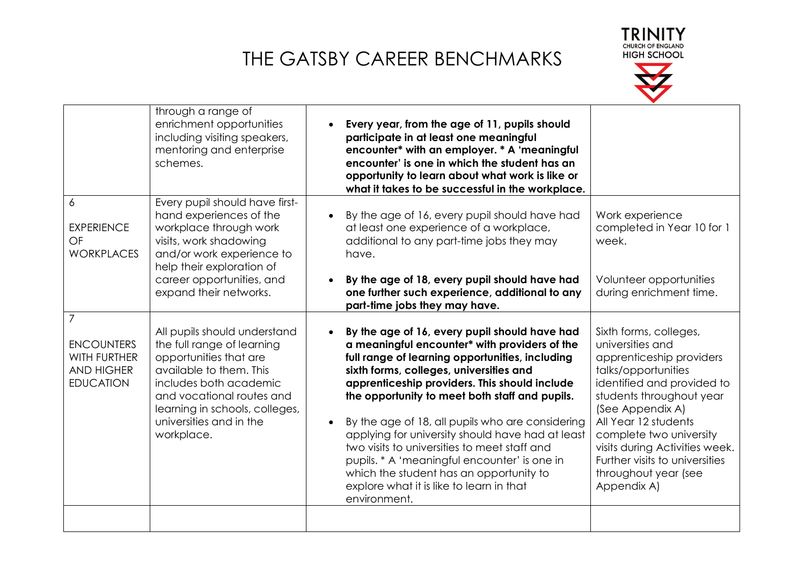

|                                                                                 | through a range of<br>enrichment opportunities<br>including visiting speakers,<br>mentoring and enterprise<br>schemes.                                                                                                                            | Every year, from the age of 11, pupils should<br>participate in at least one meaningful<br>encounter* with an employer. * A 'meaningful<br>encounter' is one in which the student has an<br>opportunity to learn about what work is like or<br>what it takes to be successful in the workplace.                                                                                                                                                                                                                                                                                                                             |                                                                                                                                                                                                                                                                                                                                           |
|---------------------------------------------------------------------------------|---------------------------------------------------------------------------------------------------------------------------------------------------------------------------------------------------------------------------------------------------|-----------------------------------------------------------------------------------------------------------------------------------------------------------------------------------------------------------------------------------------------------------------------------------------------------------------------------------------------------------------------------------------------------------------------------------------------------------------------------------------------------------------------------------------------------------------------------------------------------------------------------|-------------------------------------------------------------------------------------------------------------------------------------------------------------------------------------------------------------------------------------------------------------------------------------------------------------------------------------------|
| 6<br><b>EXPERIENCE</b><br>OF<br><b>WORKPLACES</b>                               | Every pupil should have first-<br>hand experiences of the<br>workplace through work<br>visits, work shadowing<br>and/or work experience to<br>help their exploration of                                                                           | By the age of 16, every pupil should have had<br>$\bullet$<br>at least one experience of a workplace,<br>additional to any part-time jobs they may<br>have.                                                                                                                                                                                                                                                                                                                                                                                                                                                                 | Work experience<br>completed in Year 10 for 1<br>week.                                                                                                                                                                                                                                                                                    |
|                                                                                 | career opportunities, and<br>expand their networks.                                                                                                                                                                                               | By the age of 18, every pupil should have had<br>one further such experience, additional to any<br>part-time jobs they may have.                                                                                                                                                                                                                                                                                                                                                                                                                                                                                            | Volunteer opportunities<br>during enrichment time.                                                                                                                                                                                                                                                                                        |
| 7<br><b>ENCOUNTERS</b><br>WITH FURTHER<br><b>AND HIGHER</b><br><b>EDUCATION</b> | All pupils should understand<br>the full range of learning<br>opportunities that are<br>available to them. This<br>includes both academic<br>and vocational routes and<br>learning in schools, colleges,<br>universities and in the<br>workplace. | By the age of 16, every pupil should have had<br>a meaningful encounter* with providers of the<br>full range of learning opportunities, including<br>sixth forms, colleges, universities and<br>apprenticeship providers. This should include<br>the opportunity to meet both staff and pupils.<br>By the age of 18, all pupils who are considering<br>$\bullet$<br>applying for university should have had at least<br>two visits to universities to meet staff and<br>pupils. * A 'meaningful encounter' is one in<br>which the student has an opportunity to<br>explore what it is like to learn in that<br>environment. | Sixth forms, colleges,<br>universities and<br>apprenticeship providers<br>talks/opportunities<br>identified and provided to<br>students throughout year<br>(See Appendix A)<br>All Year 12 students<br>complete two university<br>visits during Activities week.<br>Further visits to universities<br>throughout year (see<br>Appendix A) |
|                                                                                 |                                                                                                                                                                                                                                                   |                                                                                                                                                                                                                                                                                                                                                                                                                                                                                                                                                                                                                             |                                                                                                                                                                                                                                                                                                                                           |